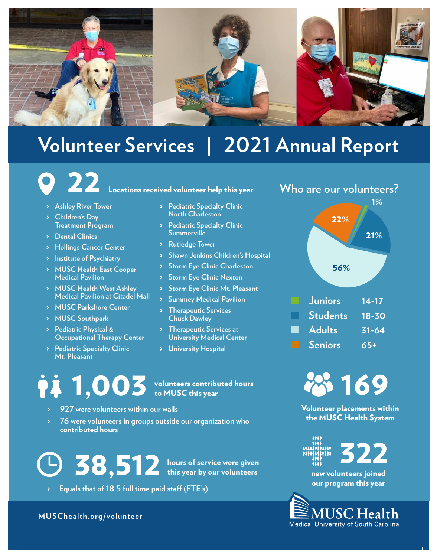

# **Volunteer Services | 2021 Annual Report**

# **22** Locations received volunteer help this year

- > **Ashley River Tower**
- > **Children's Day Treatment Program**
- > **Dental Clinics**
- > **Hollings Cancer Center**
- > **Institute of Psychiatry**
- > **MUSC Health East Cooper Medical Pavilion**
- > **MUSC Health West Ashley Medical Pavilion at Citadel Mall**
- > **MUSC Parkshore Center**
- > **MUSC Southpark**
- > **Pediatric Physical & Occupational Therapy Center**
- > **Pediatric Specialty Clinic Mt. Pleasant**
- > **Pediatric Specialty Clinic North Charleston**
- > **Pediatric Specialty Clinic Summerville**
- > **Rutledge Tower**
- > **Shawn Jenkins Children's Hospital**
- > **Storm Eye Clinic Charleston**
- > **Storm Eye Clinic Nexton**
- > **Storm Eye Clinic Mt. Pleasant**
- > **Summey Medical Pavilion** > **Therapeutic Services**
- **Chuck Dawley**
- > **Therapeutic Services at University Medical Center**
- > **University Hospital**

# 1,003 volunteers contributed hours to MUSC this year

- **> 927 were volunteers within our walls**
- **> 76 were volunteers in groups outside our organization who contributed hours**

38,512 hours of service were given this year by our volunteers

**> Equals that of 18.5 full time paid staff (FTE's)**

**MUSChealth.org/volunteer**

## **Who are our volunteers?**





Volunteer placements within the MUSC Health System



322

new volunteers joined our program this year